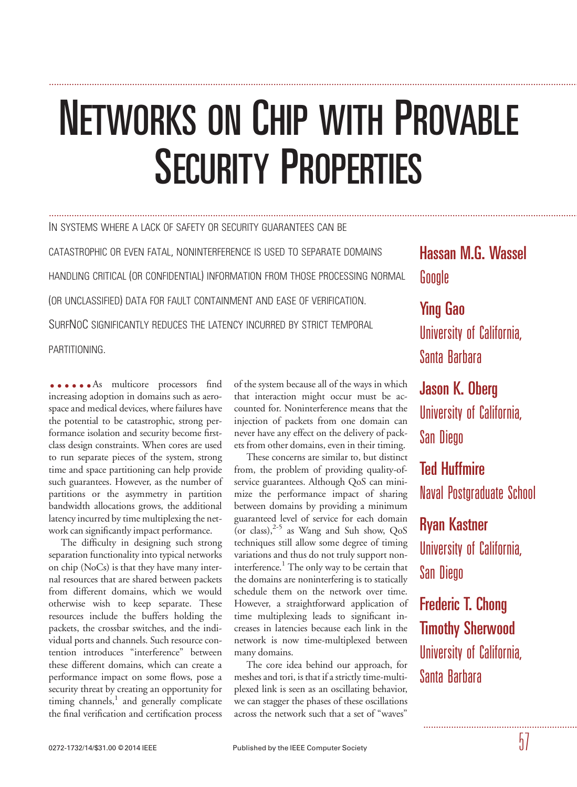# NETWORKS ON CHIP WITH PROVABLE SECURITY PROPERTIES

..................................................................................................................................................................................................................

..................................................................................................................................................................................................................

IN SYSTEMS WHERE A LACK OF SAFETY OR SECURITY GUARANTEES CAN BE

CATASTROPHIC OR EVEN FATAL, NONINTERFERENCE IS USED TO SEPARATE DOMAINS HANDLING CRITICAL (OR CONFIDENTIAL) INFORMATION FROM THOSE PROCESSING NORMAL (OR UNCLASSIFIED) DATA FOR FAULT CONTAINMENT AND EASE OF VERIFICATION. SURFNOC SIGNIFICANTLY REDUCES THE LATENCY INCURRED BY STRICT TEMPORAL PARTITIONING.

......As multicore processors find increasing adoption in domains such as aerospace and medical devices, where failures have the potential to be catastrophic, strong performance isolation and security become firstclass design constraints. When cores are used to run separate pieces of the system, strong time and space partitioning can help provide such guarantees. However, as the number of partitions or the asymmetry in partition bandwidth allocations grows, the additional latency incurred by time multiplexing the network can significantly impact performance.

The difficulty in designing such strong separation functionality into typical networks on chip (NoCs) is that they have many internal resources that are shared between packets from different domains, which we would otherwise wish to keep separate. These resources include the buffers holding the packets, the crossbar switches, and the individual ports and channels. Such resource contention introduces "interference" between these different domains, which can create a performance impact on some flows, pose a security threat by creating an opportunity for timing channels, $<sup>1</sup>$  and generally complicate</sup> the final verification and certification process

of the system because all of the ways in which that interaction might occur must be accounted for. Noninterference means that the injection of packets from one domain can never have any effect on the delivery of packets from other domains, even in their timing.

These concerns are similar to, but distinct from, the problem of providing quality-ofservice guarantees. Although QoS can minimize the performance impact of sharing between domains by providing a minimum guaranteed level of service for each domain (or class), $2-5$  as Wang and Suh show, QoS techniques still allow some degree of timing variations and thus do not truly support noninterference.<sup>1</sup> The only way to be certain that the domains are noninterfering is to statically schedule them on the network over time. However, a straightforward application of time multiplexing leads to significant increases in latencies because each link in the network is now time-multiplexed between many domains.

The core idea behind our approach, for meshes and tori, is that if a strictly time-multiplexed link is seen as an oscillating behavior, we can stagger the phases of these oscillations across the network such that a set of "waves"

# Hassan M.G. Wassel Google

# Ying Gao University of California, Santa Barbara

Jason K. Oberg University of California, San Diego

Ted Huffmire Naval Postgraduate School

Ryan Kastner University of California, San Diego

Frederic T. Chong Timothy Sherwood University of California, Santa Barbara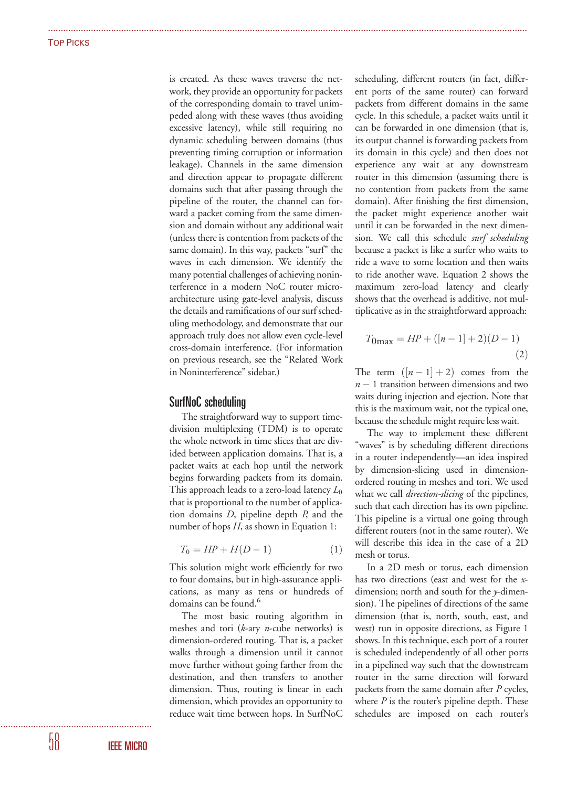is created. As these waves traverse the network, they provide an opportunity for packets of the corresponding domain to travel unimpeded along with these waves (thus avoiding excessive latency), while still requiring no dynamic scheduling between domains (thus preventing timing corruption or information leakage). Channels in the same dimension and direction appear to propagate different domains such that after passing through the pipeline of the router, the channel can forward a packet coming from the same dimension and domain without any additional wait (unless there is contention from packets of the same domain). In this way, packets "surf" the waves in each dimension. We identify the many potential challenges of achieving noninterference in a modern NoC router microarchitecture using gate-level analysis, discuss the details and ramifications of our surf scheduling methodology, and demonstrate that our approach truly does not allow even cycle-level cross-domain interference. (For information on previous research, see the "Related Work in Noninterference" sidebar.)

..............................................................................................................................................................................................

#### SurfNoC scheduling

The straightforward way to support timedivision multiplexing (TDM) is to operate the whole network in time slices that are divided between application domains. That is, a packet waits at each hop until the network begins forwarding packets from its domain. This approach leads to a zero-load latency  $L_0$ that is proportional to the number of application domains  $D$ , pipeline depth  $P$ , and the number of hops  $H$ , as shown in Equation 1:

$$
T_0 = HP + H(D - 1) \tag{1}
$$

This solution might work efficiently for two to four domains, but in high-assurance applications, as many as tens or hundreds of domains can be found.<sup>6</sup>

The most basic routing algorithm in meshes and tori  $(k$ -ary *n*-cube networks) is dimension-ordered routing. That is, a packet walks through a dimension until it cannot move further without going farther from the destination, and then transfers to another dimension. Thus, routing is linear in each dimension, which provides an opportunity to reduce wait time between hops. In SurfNoC

scheduling, different routers (in fact, different ports of the same router) can forward packets from different domains in the same cycle. In this schedule, a packet waits until it can be forwarded in one dimension (that is, its output channel is forwarding packets from its domain in this cycle) and then does not experience any wait at any downstream router in this dimension (assuming there is no contention from packets from the same domain). After finishing the first dimension, the packet might experience another wait until it can be forwarded in the next dimension. We call this schedule surf scheduling because a packet is like a surfer who waits to ride a wave to some location and then waits to ride another wave. Equation 2 shows the maximum zero-load latency and clearly shows that the overhead is additive, not multiplicative as in the straightforward approach:

$$
T_{0\text{max}} = HP + ([n-1]+2)(D-1)
$$
\n(2)

The term  $(|n-1|+2)$  comes from the  $n - 1$  transition between dimensions and two waits during injection and ejection. Note that this is the maximum wait, not the typical one, because the schedule might require less wait.

The way to implement these different "waves" is by scheduling different directions in a router independently—an idea inspired by dimension-slicing used in dimensionordered routing in meshes and tori. We used what we call *direction-slicing* of the pipelines, such that each direction has its own pipeline. This pipeline is a virtual one going through different routers (not in the same router). We will describe this idea in the case of a 2D mesh or torus.

In a 2D mesh or torus, each dimension has two directions (east and west for the xdimension; north and south for the y-dimension). The pipelines of directions of the same dimension (that is, north, south, east, and west) run in opposite directions, as Figure 1 shows. In this technique, each port of a router is scheduled independently of all other ports in a pipelined way such that the downstream router in the same direction will forward packets from the same domain after P cycles, where  $P$  is the router's pipeline depth. These schedules are imposed on each router's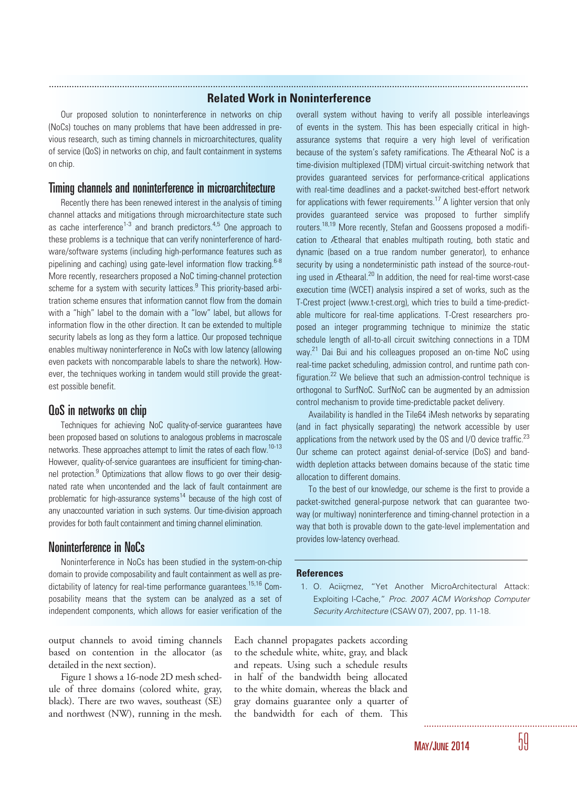# .............................................................................................................................................................................................. Related Work in Noninterference

Our proposed solution to noninterference in networks on chip (NoCs) touches on many problems that have been addressed in previous research, such as timing channels in microarchitectures, quality of service (QoS) in networks on chip, and fault containment in systems on chip.

## Timing channels and noninterference in microarchitecture

Recently there has been renewed interest in the analysis of timing channel attacks and mitigations through microarchitecture state such as cache interference<sup>1-3</sup> and branch predictors.<sup>4,5</sup> One approach to these problems is a technique that can verify noninterference of hardware/software systems (including high-performance features such as pipelining and caching) using gate-level information flow tracking. $6-8$ More recently, researchers proposed a NoC timing-channel protection scheme for a system with security lattices.<sup>9</sup> This priority-based arbitration scheme ensures that information cannot flow from the domain with a "high" label to the domain with a "low" label, but allows for information flow in the other direction. It can be extended to multiple security labels as long as they form a lattice. Our proposed technique enables multiway noninterference in NoCs with low latency (allowing even packets with noncomparable labels to share the network). However, the techniques working in tandem would still provide the greatest possible benefit.

# QoS in networks on chip

Techniques for achieving NoC quality-of-service guarantees have been proposed based on solutions to analogous problems in macroscale networks. These approaches attempt to limit the rates of each flow.<sup>10-13</sup> However, quality-of-service guarantees are insufficient for timing-channel protection.<sup>9</sup> Optimizations that allow flows to go over their designated rate when uncontended and the lack of fault containment are problematic for high-assurance systems $14$  because of the high cost of any unaccounted variation in such systems. Our time-division approach provides for both fault containment and timing channel elimination.

#### Noninterference in NoCs

Noninterference in NoCs has been studied in the system-on-chip domain to provide composability and fault containment as well as predictability of latency for real-time performance guarantees.<sup>15,16</sup> Composability means that the system can be analyzed as a set of independent components, which allows for easier verification of the

output channels to avoid timing channels based on contention in the allocator (as detailed in the next section).

Figure 1 shows a 16-node 2D mesh schedule of three domains (colored white, gray, black). There are two waves, southeast (SE) and northwest (NW), running in the mesh.

overall system without having to verify all possible interleavings of events in the system. This has been especially critical in highassurance systems that require a very high level of verification because of the system's safety ramifications. The Æthearal NoC is a time-division multiplexed (TDM) virtual circuit-switching network that provides guaranteed services for performance-critical applications with real-time deadlines and a packet-switched best-effort network for applications with fewer requirements.<sup>17</sup> A lighter version that only provides guaranteed service was proposed to further simplify routers.<sup>18,19</sup> More recently, Stefan and Goossens proposed a modification to Æthearal that enables multipath routing, both static and dynamic (based on a true random number generator), to enhance security by using a nondeterministic path instead of the source-routing used in Æthearal.<sup>20</sup> In addition, the need for real-time worst-case execution time (WCET) analysis inspired a set of works, such as the T-Crest project (www.t-crest.org), which tries to build a time-predictable multicore for real-time applications. T-Crest researchers proposed an integer programming technique to minimize the static schedule length of all-to-all circuit switching connections in a TDM way.<sup>21</sup> Dai Bui and his colleagues proposed an on-time NoC using real-time packet scheduling, admission control, and runtime path configuration.<sup>22</sup> We believe that such an admission-control technique is orthogonal to SurfNoC. SurfNoC can be augmented by an admission control mechanism to provide time-predictable packet delivery.

Availability is handled in the Tile64 iMesh networks by separating (and in fact physically separating) the network accessible by user applications from the network used by the  $OS$  and  $1/O$  device traffic.<sup>23</sup> Our scheme can protect against denial-of-service (DoS) and bandwidth depletion attacks between domains because of the static time allocation to different domains.

To the best of our knowledge, our scheme is the first to provide a packet-switched general-purpose network that can guarantee twoway (or multiway) noninterference and timing-channel protection in a way that both is provable down to the gate-level implementation and provides low-latency overhead.

#### **References**

1. O. Aciicmez, "Yet Another MicroArchitectural Attack: Exploiting I-Cache," Proc. 2007 ACM Workshop Computer Security Architecture (CSAW 07), 2007, pp. 11-18.

Each channel propagates packets according to the schedule white, white, gray, and black and repeats. Using such a schedule results in half of the bandwidth being allocated to the white domain, whereas the black and gray domains guarantee only a quarter of the bandwidth for each of them. This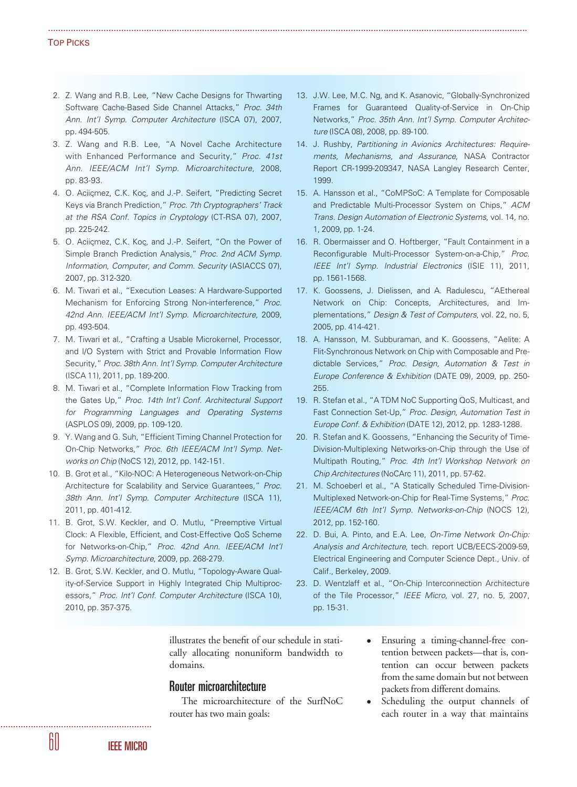2. Z. Wang and R.B. Lee, "New Cache Designs for Thwarting Software Cache-Based Side Channel Attacks," Proc. 34th Ann. Int'l Symp. Computer Architecture (ISCA 07), 2007, pp. 494-505.

..............................................................................................................................................................................................

- 3. Z. Wang and R.B. Lee, "A Novel Cache Architecture with Enhanced Performance and Security," Proc. 41st Ann. IEEE/ACM Int'l Symp. Microarchitecture, 2008, pp. 83-93.
- 4. O. Aciicmez, C.K. Koc, and J.-P. Seifert, "Predicting Secret Keys via Branch Prediction," Proc. 7th Cryptographers' Track at the RSA Conf. Topics in Cryptology (CT-RSA 07), 2007, pp. 225-242.
- 5. O. Aciiçmez, C.K. Koç, and J.-P. Seifert, "On the Power of Simple Branch Prediction Analysis," Proc. 2nd ACM Symp. Information, Computer, and Comm. Security (ASIACCS 07), 2007, pp. 312-320.
- 6. M. Tiwari et al., "Execution Leases: A Hardware-Supported Mechanism for Enforcing Strong Non-interference," Proc. 42nd Ann. IEEE/ACM Int'l Symp. Microarchitecture, 2009, pp. 493-504.
- 7. M. Tiwari et al., "Crafting a Usable Microkernel, Processor, and I/O System with Strict and Provable Information Flow Security," Proc. 38th Ann. Int'l Symp. Computer Architecture (ISCA 11), 2011, pp. 189-200.
- 8. M. Tiwari et al., "Complete Information Flow Tracking from the Gates Up," Proc. 14th Int'l Conf. Architectural Support for Programming Languages and Operating Systems (ASPLOS 09), 2009, pp. 109-120.
- 9. Y. Wang and G. Suh, "Efficient Timing Channel Protection for On-Chip Networks," Proc. 6th IEEE/ACM Int'l Symp. Networks on Chip (NoCS 12), 2012, pp. 142-151.
- 10. B. Grot et al., "Kilo-NOC: A Heterogeneous Network-on-Chip Architecture for Scalability and Service Guarantees," Proc. 38th Ann. Int'l Symp. Computer Architecture (ISCA 11), 2011, pp. 401-412.
- 11. B. Grot, S.W. Keckler, and O. Mutlu, "Preemptive Virtual Clock: A Flexible, Efficient, and Cost-Effective QoS Scheme for Networks-on-Chip," Proc. 42nd Ann. IEEE/ACM Int'l Symp. Microarchitecture, 2009, pp. 268-279.
- 12. B. Grot, S.W. Keckler, and O. Mutlu, "Topology-Aware Quality-of-Service Support in Highly Integrated Chip Multiprocessors," Proc. Int'l Conf. Computer Architecture (ISCA 10), 2010, pp. 357-375.
- 13. J.W. Lee, M.C. Ng, and K. Asanovic, "Globally-Synchronized Frames for Guaranteed Quality-of-Service in On-Chip Networks," Proc. 35th Ann. Int'l Symp. Computer Architecture (ISCA 08), 2008, pp. 89-100.
- 14. J. Rushby, Partitioning in Avionics Architectures: Requirements, Mechanisms, and Assurance, NASA Contractor Report CR-1999-209347, NASA Langley Research Center, 1999.
- 15. A. Hansson et al., "CoMPSoC: A Template for Composable and Predictable Multi-Processor System on Chips," ACM Trans. Design Automation of Electronic Systems, vol. 14, no. 1, 2009, pp. 1-24.
- 16. R. Obermaisser and O. Hoftberger, "Fault Containment in a Reconfigurable Multi-Processor System-on-a-Chip," Proc. IEEE Int'l Symp. Industrial Electronics (ISIE 11), 2011, pp. 1561-1568.
- 17. K. Goossens, J. Dielissen, and A. Radulescu, "AEthereal Network on Chip: Concepts, Architectures, and Implementations," Design & Test of Computers, vol. 22, no. 5, 2005, pp. 414-421.
- 18. A. Hansson, M. Subburaman, and K. Goossens, "Aelite: A Flit-Synchronous Network on Chip with Composable and Predictable Services," Proc. Design, Automation & Test in Europe Conference & Exhibition (DATE 09), 2009, pp. 250- 255.
- 19. R. Stefan et al., "A TDM NoC Supporting QoS, Multicast, and Fast Connection Set-Up," Proc. Design, Automation Test in Europe Conf. & Exhibition (DATE 12), 2012, pp. 1283-1288.
- 20. R. Stefan and K. Goossens, "Enhancing the Security of Time-Division-Multiplexing Networks-on-Chip through the Use of Multipath Routing," Proc. 4th Int'l Workshop Network on Chip Architectures (NoCArc 11), 2011, pp. 57-62.
- 21. M. Schoeberl et al., "A Statically Scheduled Time-Division-Multiplexed Network-on-Chip for Real-Time Systems," Proc. IEEE/ACM 6th Int'l Symp. Networks-on-Chip (NOCS 12), 2012, pp. 152-160.
- 22. D. Bui, A. Pinto, and E.A. Lee, On-Time Network On-Chip: Analysis and Architecture, tech. report UCB/EECS-2009-59, Electrical Engineering and Computer Science Dept., Univ. of Calif., Berkeley, 2009.
- 23. D. Wentzlaff et al., "On-Chip Interconnection Architecture of the Tile Processor," IEEE Micro, vol. 27, no. 5, 2007, pp. 15-31.

illustrates the benefit of our schedule in statically allocating nonuniform bandwidth to domains.

# Router microarchitecture

The microarchitecture of the SurfNoC router has two main goals:

- Ensuring a timing-channel-free contention between packets—that is, contention can occur between packets from the same domain but not between packets from different domains.
- Scheduling the output channels of each router in a way that maintains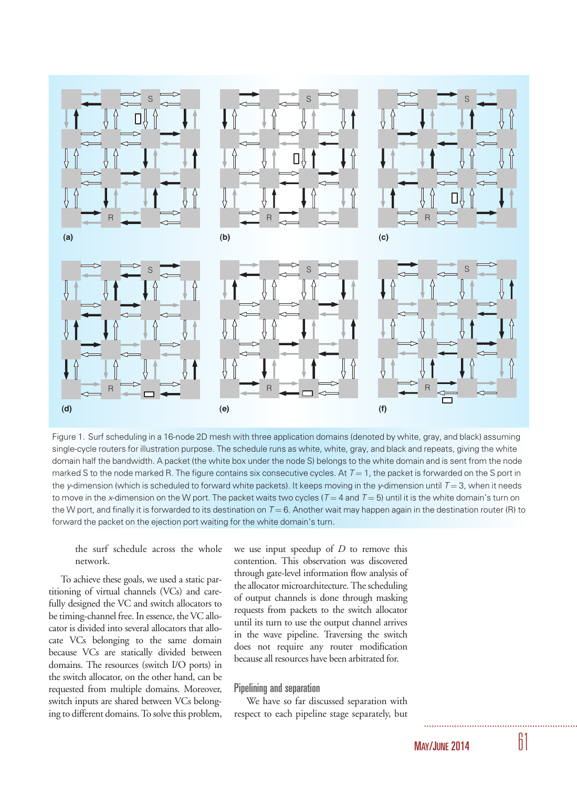

Figure 1. Surf scheduling in a 16-node 2D mesh with three application domains (denoted by white, gray, and black) assuming single-cycle routers for illustration purpose. The schedule runs as white, white, gray, and black and repeats, giving the white domain half the bandwidth. A packet (the white box under the node S) belongs to the white domain and is sent from the node marked S to the node marked R. The figure contains six consecutive cycles. At  $T = 1$ , the packet is forwarded on the S port in the y-dimension (which is scheduled to forward white packets). It keeps moving in the y-dimension until  $T = 3$ , when it needs to move in the x-dimension on the W port. The packet waits two cycles ( $T = 4$  and  $T = 5$ ) until it is the white domain's turn on the W port, and finally it is forwarded to its destination on  $T = 6$ . Another wait may happen again in the destination router (R) to forward the packet on the ejection port waiting for the white domain's turn.

the surf schedule across the whole network.

To achieve these goals, we used a static partitioning of virtual channels (VCs) and carefully designed the VC and switch allocators to be timing-channel free. In essence, the VC allocator is divided into several allocators that allocate VCs belonging to the same domain because VCs are statically divided between domains. The resources (switch I/O ports) in the switch allocator, on the other hand, can be requested from multiple domains. Moreover, switch inputs are shared between VCs belonging to different domains. To solve this problem, we use input speedup of  $D$  to remove this contention. This observation was discovered through gate-level information flow analysis of the allocator microarchitecture. The scheduling of output channels is done through masking requests from packets to the switch allocator until its turn to use the output channel arrives in the wave pipeline. Traversing the switch does not require any router modification because all resources have been arbitrated for.

#### Pipelining and separation

We have so far discussed separation with respect to each pipeline stage separately, but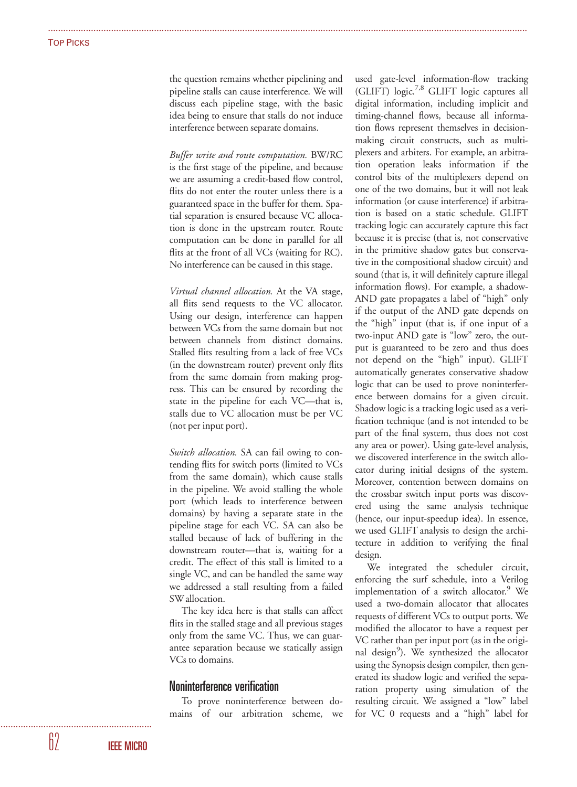the question remains whether pipelining and pipeline stalls can cause interference. We will discuss each pipeline stage, with the basic idea being to ensure that stalls do not induce interference between separate domains.

..............................................................................................................................................................................................

Buffer write and route computation. BW/RC is the first stage of the pipeline, and because we are assuming a credit-based flow control, flits do not enter the router unless there is a guaranteed space in the buffer for them. Spatial separation is ensured because VC allocation is done in the upstream router. Route computation can be done in parallel for all flits at the front of all VCs (waiting for RC). No interference can be caused in this stage.

Virtual channel allocation. At the VA stage, all flits send requests to the VC allocator. Using our design, interference can happen between VCs from the same domain but not between channels from distinct domains. Stalled flits resulting from a lack of free VCs (in the downstream router) prevent only flits from the same domain from making progress. This can be ensured by recording the state in the pipeline for each VC—that is, stalls due to VC allocation must be per VC (not per input port).

Switch allocation. SA can fail owing to contending flits for switch ports (limited to VCs from the same domain), which cause stalls in the pipeline. We avoid stalling the whole port (which leads to interference between domains) by having a separate state in the pipeline stage for each VC. SA can also be stalled because of lack of buffering in the downstream router—that is, waiting for a credit. The effect of this stall is limited to a single VC, and can be handled the same way we addressed a stall resulting from a failed SW allocation.

The key idea here is that stalls can affect flits in the stalled stage and all previous stages only from the same VC. Thus, we can guarantee separation because we statically assign VCs to domains.

#### Noninterference verification

To prove noninterference between domains of our arbitration scheme, we used gate-level information-flow tracking (GLIFT) logic.<sup>7,8</sup> GLIFT logic captures all digital information, including implicit and timing-channel flows, because all information flows represent themselves in decisionmaking circuit constructs, such as multiplexers and arbiters. For example, an arbitration operation leaks information if the control bits of the multiplexers depend on one of the two domains, but it will not leak information (or cause interference) if arbitration is based on a static schedule. GLIFT tracking logic can accurately capture this fact because it is precise (that is, not conservative in the primitive shadow gates but conservative in the compositional shadow circuit) and sound (that is, it will definitely capture illegal information flows). For example, a shadow-AND gate propagates a label of "high" only if the output of the AND gate depends on the "high" input (that is, if one input of a two-input AND gate is "low" zero, the output is guaranteed to be zero and thus does not depend on the "high" input). GLIFT automatically generates conservative shadow logic that can be used to prove noninterference between domains for a given circuit. Shadow logic is a tracking logic used as a verification technique (and is not intended to be part of the final system, thus does not cost any area or power). Using gate-level analysis, we discovered interference in the switch allocator during initial designs of the system. Moreover, contention between domains on the crossbar switch input ports was discovered using the same analysis technique (hence, our input-speedup idea). In essence, we used GLIFT analysis to design the architecture in addition to verifying the final design.

We integrated the scheduler circuit, enforcing the surf schedule, into a Verilog implementation of a switch allocator.<sup>9</sup> We used a two-domain allocator that allocates requests of different VCs to output ports. We modified the allocator to have a request per VC rather than per input port (as in the original design<sup>9</sup>). We synthesized the allocator using the Synopsis design compiler, then generated its shadow logic and verified the separation property using simulation of the resulting circuit. We assigned a "low" label for VC 0 requests and a "high" label for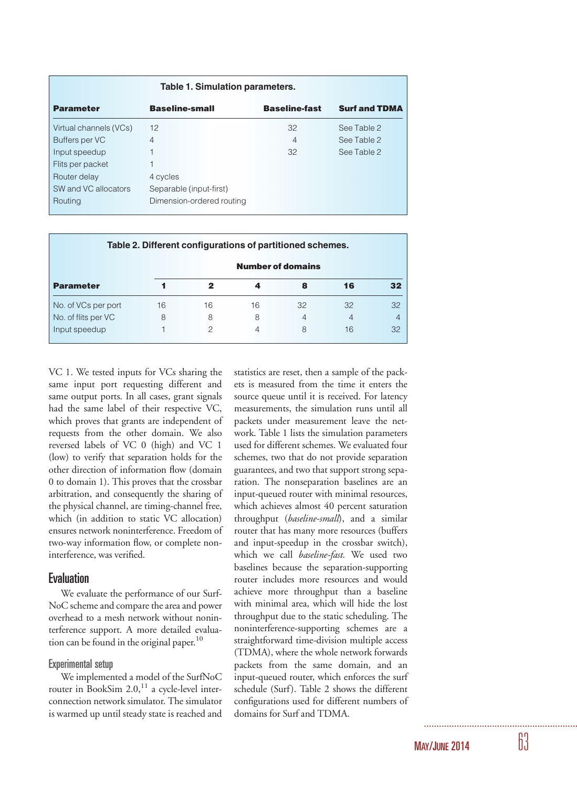| Table 1. Simulation parameters. |                           |                      |                      |  |  |  |  |  |  |
|---------------------------------|---------------------------|----------------------|----------------------|--|--|--|--|--|--|
| <b>Parameter</b>                | <b>Baseline-small</b>     | <b>Baseline-fast</b> | <b>Surf and TDMA</b> |  |  |  |  |  |  |
| Virtual channels (VCs)          | 12                        | 32                   | See Table 2          |  |  |  |  |  |  |
| Buffers per VC                  | 4                         | $\overline{4}$       | See Table 2          |  |  |  |  |  |  |
| Input speedup                   |                           | 32                   | See Table 2          |  |  |  |  |  |  |
| Flits per packet                |                           |                      |                      |  |  |  |  |  |  |
| Router delay                    | 4 cycles                  |                      |                      |  |  |  |  |  |  |
| SW and VC allocators            | Separable (input-first)   |                      |                      |  |  |  |  |  |  |
| Routing                         | Dimension-ordered routing |                      |                      |  |  |  |  |  |  |

| Table 2. Different configurations of partitioned schemes. |                          |               |    |                |    |                |  |  |  |
|-----------------------------------------------------------|--------------------------|---------------|----|----------------|----|----------------|--|--|--|
|                                                           | <b>Number of domains</b> |               |    |                |    |                |  |  |  |
| <b>Parameter</b>                                          |                          |               | 4  | 8              | 16 | 32             |  |  |  |
| No. of VCs per port                                       | 16                       | 16            | 16 | 32             | 32 | 32             |  |  |  |
| No. of flits per VC                                       | 8                        | 8             | 8  | $\overline{4}$ | 4  | $\overline{4}$ |  |  |  |
| Input speedup                                             |                          | $\mathcal{P}$ | 4  | 8              | 16 | 32             |  |  |  |

VC 1. We tested inputs for VCs sharing the same input port requesting different and same output ports. In all cases, grant signals had the same label of their respective VC, which proves that grants are independent of requests from the other domain. We also reversed labels of VC 0 (high) and VC 1 (low) to verify that separation holds for the other direction of information flow (domain 0 to domain 1). This proves that the crossbar arbitration, and consequently the sharing of the physical channel, are timing-channel free, which (in addition to static VC allocation) ensures network noninterference. Freedom of two-way information flow, or complete noninterference, was verified.

## Evaluation

We evaluate the performance of our Surf-NoC scheme and compare the area and power overhead to a mesh network without noninterference support. A more detailed evaluation can be found in the original paper.<sup>10</sup>

#### Experimental setup

We implemented a model of the SurfNoC router in BookSim  $2.0$ ,<sup>11</sup> a cycle-level interconnection network simulator. The simulator is warmed up until steady state is reached and

statistics are reset, then a sample of the packets is measured from the time it enters the source queue until it is received. For latency measurements, the simulation runs until all packets under measurement leave the network. Table 1 lists the simulation parameters used for different schemes. We evaluated four schemes, two that do not provide separation guarantees, and two that support strong separation. The nonseparation baselines are an input-queued router with minimal resources, which achieves almost 40 percent saturation throughput (baseline-small), and a similar router that has many more resources (buffers and input-speedup in the crossbar switch), which we call baseline-fast. We used two baselines because the separation-supporting router includes more resources and would achieve more throughput than a baseline with minimal area, which will hide the lost throughput due to the static scheduling. The noninterference-supporting schemes are a straightforward time-division multiple access (TDMA), where the whole network forwards packets from the same domain, and an input-queued router, which enforces the surf schedule (Surf). Table 2 shows the different configurations used for different numbers of domains for Surf and TDMA.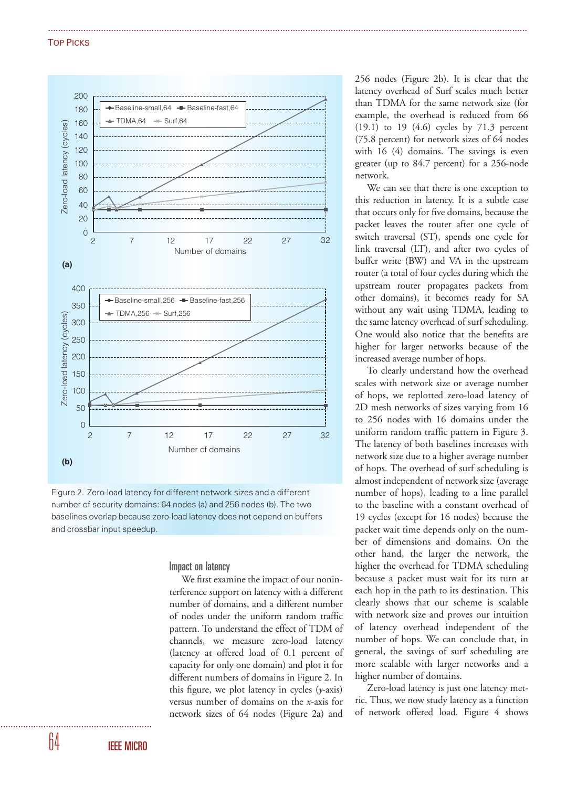#### TOP PICKS



..............................................................................................................................................................................................

Figure 2. Zero-load latency for different network sizes and a different number of security domains: 64 nodes (a) and 256 nodes (b). The two baselines overlap because zero-load latency does not depend on buffers and crossbar input speedup.

Impact on latency

We first examine the impact of our noninterference support on latency with a different number of domains, and a different number of nodes under the uniform random traffic pattern. To understand the effect of TDM of channels, we measure zero-load latency (latency at offered load of 0.1 percent of capacity for only one domain) and plot it for different numbers of domains in Figure 2. In this figure, we plot latency in cycles  $(y\text{-axis})$ versus number of domains on the x-axis for network sizes of 64 nodes (Figure 2a) and

256 nodes (Figure 2b). It is clear that the latency overhead of Surf scales much better than TDMA for the same network size (for example, the overhead is reduced from 66 (19.1) to 19 (4.6) cycles by 71.3 percent (75.8 percent) for network sizes of 64 nodes with 16 (4) domains. The savings is even greater (up to 84.7 percent) for a 256-node network.

We can see that there is one exception to this reduction in latency. It is a subtle case that occurs only for five domains, because the packet leaves the router after one cycle of switch traversal (ST), spends one cycle for link traversal (LT), and after two cycles of buffer write (BW) and VA in the upstream router (a total of four cycles during which the upstream router propagates packets from other domains), it becomes ready for SA without any wait using TDMA, leading to the same latency overhead of surf scheduling. One would also notice that the benefits are higher for larger networks because of the increased average number of hops.

To clearly understand how the overhead scales with network size or average number of hops, we replotted zero-load latency of 2D mesh networks of sizes varying from 16 to 256 nodes with 16 domains under the uniform random traffic pattern in Figure 3. The latency of both baselines increases with network size due to a higher average number of hops. The overhead of surf scheduling is almost independent of network size (average number of hops), leading to a line parallel to the baseline with a constant overhead of 19 cycles (except for 16 nodes) because the packet wait time depends only on the number of dimensions and domains. On the other hand, the larger the network, the higher the overhead for TDMA scheduling because a packet must wait for its turn at each hop in the path to its destination. This clearly shows that our scheme is scalable with network size and proves our intuition of latency overhead independent of the number of hops. We can conclude that, in general, the savings of surf scheduling are more scalable with larger networks and a higher number of domains.

Zero-load latency is just one latency metric. Thus, we now study latency as a function of network offered load. Figure 4 shows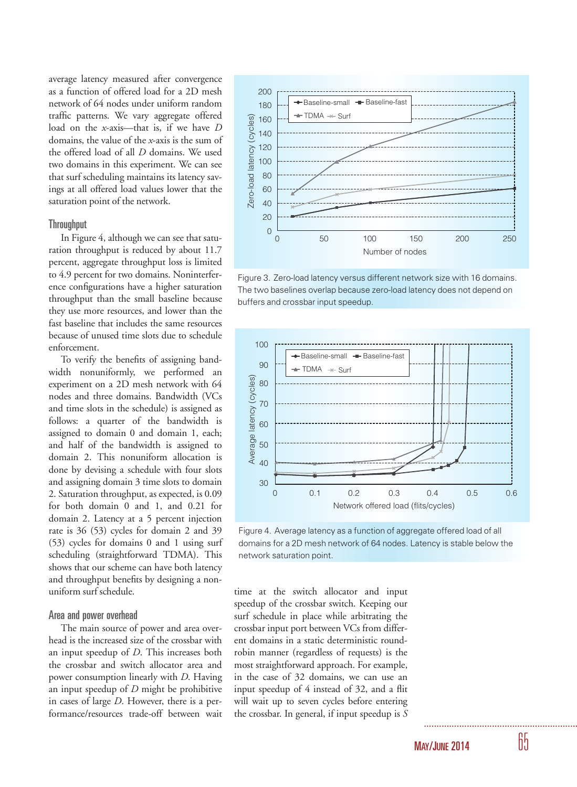average latency measured after convergence as a function of offered load for a 2D mesh network of 64 nodes under uniform random traffic patterns. We vary aggregate offered load on the x-axis—that is, if we have D domains, the value of the x-axis is the sum of the offered load of all D domains. We used two domains in this experiment. We can see that surf scheduling maintains its latency savings at all offered load values lower that the saturation point of the network.

#### **Throughput**

In Figure 4, although we can see that saturation throughput is reduced by about 11.7 percent, aggregate throughput loss is limited to 4.9 percent for two domains. Noninterference configurations have a higher saturation throughput than the small baseline because they use more resources, and lower than the fast baseline that includes the same resources because of unused time slots due to schedule enforcement.

To verify the benefits of assigning bandwidth nonuniformly, we performed an experiment on a 2D mesh network with 64 nodes and three domains. Bandwidth (VCs and time slots in the schedule) is assigned as follows: a quarter of the bandwidth is assigned to domain 0 and domain 1, each; and half of the bandwidth is assigned to domain 2. This nonuniform allocation is done by devising a schedule with four slots and assigning domain 3 time slots to domain 2. Saturation throughput, as expected, is 0.09 for both domain 0 and 1, and 0.21 for domain 2. Latency at a 5 percent injection rate is 36 (53) cycles for domain 2 and 39 (53) cycles for domains 0 and 1 using surf scheduling (straightforward TDMA). This shows that our scheme can have both latency and throughput benefits by designing a nonuniform surf schedule.

#### Area and power overhead

The main source of power and area overhead is the increased size of the crossbar with an input speedup of D. This increases both the crossbar and switch allocator area and power consumption linearly with D. Having an input speedup of  $D$  might be prohibitive in cases of large D. However, there is a performance/resources trade-off between wait



Figure 3. Zero-load latency versus different network size with 16 domains. The two baselines overlap because zero-load latency does not depend on buffers and crossbar input speedup.



Figure 4. Average latency as a function of aggregate offered load of all domains for a 2D mesh network of 64 nodes. Latency is stable below the network saturation point.

time at the switch allocator and input speedup of the crossbar switch. Keeping our surf schedule in place while arbitrating the crossbar input port between VCs from different domains in a static deterministic roundrobin manner (regardless of requests) is the most straightforward approach. For example, in the case of 32 domains, we can use an input speedup of 4 instead of 32, and a flit will wait up to seven cycles before entering the crossbar. In general, if input speedup is S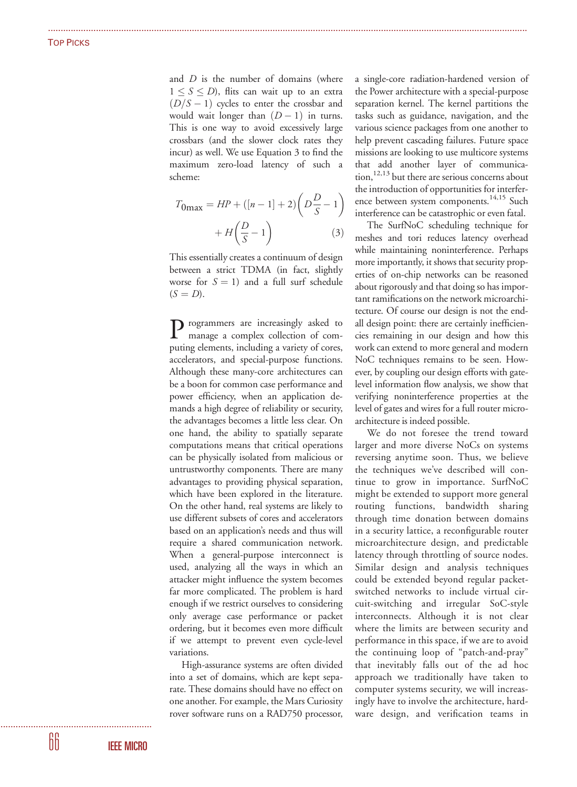and D is the number of domains (where  $1 \leq S \leq D$ ), flits can wait up to an extra  $(D/S - 1)$  cycles to enter the crossbar and would wait longer than  $(D - 1)$  in turns. This is one way to avoid excessively large crossbars (and the slower clock rates they incur) as well. We use Equation 3 to find the maximum zero-load latency of such a scheme:

..............................................................................................................................................................................................

$$
T_{0\text{max}} = HP + ([n-1] + 2)\left(D\frac{D}{S} - 1\right)
$$

$$
+ H\left(\frac{D}{S} - 1\right) \tag{3}
$$

This essentially creates a continuum of design between a strict TDMA (in fact, slightly worse for  $S = 1$ ) and a full surf schedule  $(S = D).$ 

Programmers are increasingly asked to manage a complex collection of computing elements, including a variety of cores, accelerators, and special-purpose functions. Although these many-core architectures can be a boon for common case performance and power efficiency, when an application demands a high degree of reliability or security, the advantages becomes a little less clear. On one hand, the ability to spatially separate computations means that critical operations can be physically isolated from malicious or untrustworthy components. There are many advantages to providing physical separation, which have been explored in the literature. On the other hand, real systems are likely to use different subsets of cores and accelerators based on an application's needs and thus will require a shared communication network. When a general-purpose interconnect is used, analyzing all the ways in which an attacker might influence the system becomes far more complicated. The problem is hard enough if we restrict ourselves to considering only average case performance or packet ordering, but it becomes even more difficult if we attempt to prevent even cycle-level variations.

High-assurance systems are often divided into a set of domains, which are kept separate. These domains should have no effect on one another. For example, the Mars Curiosity rover software runs on a RAD750 processor,

a single-core radiation-hardened version of the Power architecture with a special-purpose separation kernel. The kernel partitions the tasks such as guidance, navigation, and the various science packages from one another to help prevent cascading failures. Future space missions are looking to use multicore systems that add another layer of communica- $\text{tion},^{12,13}$  but there are serious concerns about the introduction of opportunities for interference between system components.<sup>14,15</sup> Such interference can be catastrophic or even fatal.

The SurfNoC scheduling technique for meshes and tori reduces latency overhead while maintaining noninterference. Perhaps more importantly, it shows that security properties of on-chip networks can be reasoned about rigorously and that doing so has important ramifications on the network microarchitecture. Of course our design is not the endall design point: there are certainly inefficiencies remaining in our design and how this work can extend to more general and modern NoC techniques remains to be seen. However, by coupling our design efforts with gatelevel information flow analysis, we show that verifying noninterference properties at the level of gates and wires for a full router microarchitecture is indeed possible.

We do not foresee the trend toward larger and more diverse NoCs on systems reversing anytime soon. Thus, we believe the techniques we've described will continue to grow in importance. SurfNoC might be extended to support more general routing functions, bandwidth sharing through time donation between domains in a security lattice, a reconfigurable router microarchitecture design, and predictable latency through throttling of source nodes. Similar design and analysis techniques could be extended beyond regular packetswitched networks to include virtual circuit-switching and irregular SoC-style interconnects. Although it is not clear where the limits are between security and performance in this space, if we are to avoid the continuing loop of "patch-and-pray" that inevitably falls out of the ad hoc approach we traditionally have taken to computer systems security, we will increasingly have to involve the architecture, hardware design, and verification teams in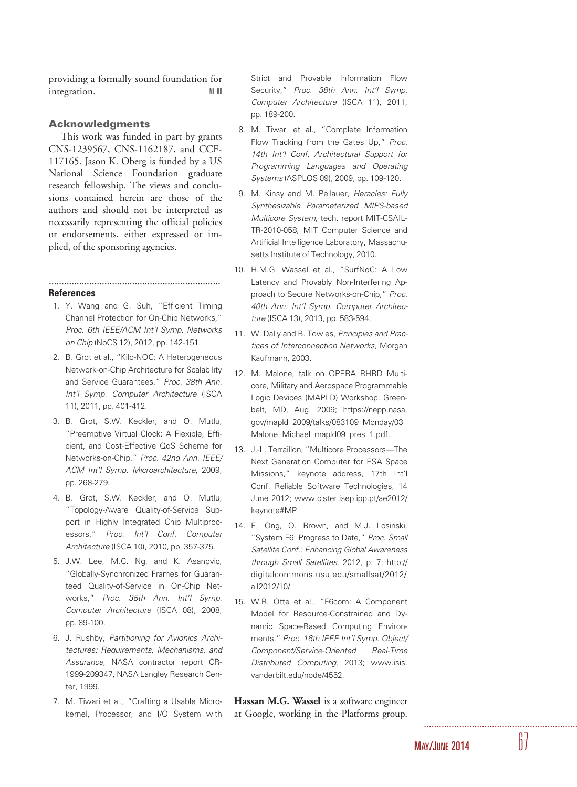providing a formally sound foundation for integration. MICRO

#### Acknowledgments

This work was funded in part by grants CNS-1239567, CNS-1162187, and CCF-117165. Jason K. Oberg is funded by a US National Science Foundation graduate research fellowship. The views and conclusions contained herein are those of the authors and should not be interpreted as necessarily representing the official policies or endorsements, either expressed or implied, of the sponsoring agencies.

#### References

1. Y. Wang and G. Suh, "Efficient Timing Channel Protection for On-Chip Networks," Proc. 6th IEEE/ACM Int'l Symp. Networks on Chip (NoCS 12), 2012, pp. 142-151.

....................................................................

- 2. B. Grot et al., "Kilo-NOC: A Heterogeneous Network-on-Chip Architecture for Scalability and Service Guarantees," Proc. 38th Ann. Int'l Symp. Computer Architecture (ISCA 11), 2011, pp. 401-412.
- 3. B. Grot, S.W. Keckler, and O. Mutlu, "Preemptive Virtual Clock: A Flexible, Efficient, and Cost-Effective QoS Scheme for Networks-on-Chip," Proc. 42nd Ann. IEEE/ ACM Int'l Symp. Microarchitecture, 2009, pp. 268-279.
- 4. B. Grot, S.W. Keckler, and O. Mutlu, "Topology-Aware Quality-of-Service Support in Highly Integrated Chip Multiprocessors," Proc. Int'l Conf. Computer Architecture (ISCA 10), 2010, pp. 357-375.
- 5. J.W. Lee, M.C. Ng, and K. Asanovic, "Globally-Synchronized Frames for Guaranteed Quality-of-Service in On-Chip Networks," Proc. 35th Ann. Int'l Symp. Computer Architecture (ISCA 08), 2008, pp. 89-100.
- 6. J. Rushby, Partitioning for Avionics Architectures: Requirements, Mechanisms, and Assurance, NASA contractor report CR-1999-209347, NASA Langley Research Center, 1999.
- 7. M. Tiwari et al., "Crafting a Usable Microkernel, Processor, and I/O System with

Strict and Provable Information Flow Security," Proc. 38th Ann. Int'l Symp. Computer Architecture (ISCA 11), 2011, pp. 189-200.

- 8. M. Tiwari et al., "Complete Information Flow Tracking from the Gates Up," Proc. 14th Int'l Conf. Architectural Support for Programming Languages and Operating Systems (ASPLOS 09), 2009, pp. 109-120.
- 9. M. Kinsy and M. Pellauer, Heracles: Fully Synthesizable Parameterized MIPS-based Multicore System, tech. report MIT-CSAIL-TR-2010-058, MIT Computer Science and Artificial Intelligence Laboratory, Massachusetts Institute of Technology, 2010.
- 10. H.M.G. Wassel et al., "SurfNoC: A Low Latency and Provably Non-Interfering Approach to Secure Networks-on-Chip," Proc. 40th Ann. Int'l Symp. Computer Architecture (ISCA 13), 2013, pp. 583-594.
- 11. W. Dally and B. Towles, Principles and Practices of Interconnection Networks, Morgan Kaufmann, 2003.
- 12. M. Malone, talk on OPERA RHBD Multicore, Military and Aerospace Programmable Logic Devices (MAPLD) Workshop, Greenbelt, MD, Aug. 2009; https://nepp.nasa. gov/mapld\_2009/talks/083109\_Monday/03\_ Malone\_Michael\_mapld09\_pres\_1.pdf.
- 13. J.-L. Terraillon, "Multicore Processors—The Next Generation Computer for ESA Space Missions," keynote address, 17th Int'l Conf. Reliable Software Technologies, 14 June 2012; www.cister.isep.ipp.pt/ae2012/ keynote#MP.
- 14. E. Ong, O. Brown, and M.J. Losinski, "System F6: Progress to Date," Proc. Small Satellite Conf.: Enhancing Global Awareness through Small Satellites, 2012, p. 7; http:// digitalcommons.usu.edu/smallsat/2012/ all2012/10/.
- 15. W.R. Otte et al., "F6com: A Component Model for Resource-Constrained and Dynamic Space-Based Computing Environments," Proc. 16th IEEE Int'l Symp. Object/ Component/Service-Oriented Real-Time Distributed Computing, 2013; www.isis. vanderbilt.edu/node/4552.

Hassan M.G. Wassel is a software engineer at Google, working in the Platforms group.